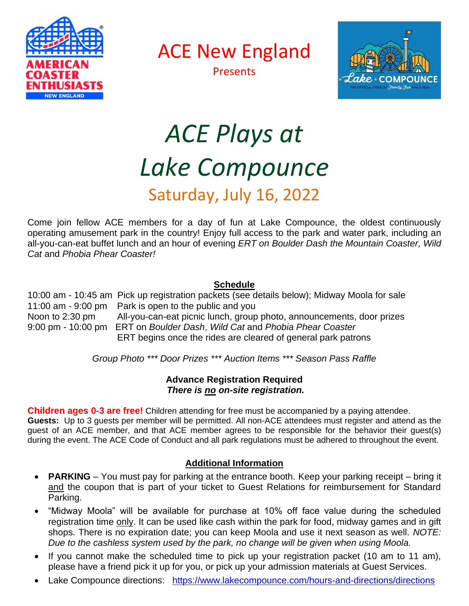

ACE New England





# *ACE Plays at Lake Compounce*

# Saturday, July 16, 2022

Come join fellow ACE members for a day of fun at Lake Compounce, the oldest continuously operating amusement park in the country! Enjoy full access to the park and water park, including an all-you-can-eat buffet lunch and an hour of evening *ERT on Boulder Dash the Mountain Coaster, Wild Cat* and *Phobia Phear Coaster!* 

## **Schedule**

10:00 am - 10:45 am Pick up registration packets (see details below); Midway Moola for sale 11:00 am - 9:00 pm Park is open to the public and you Noon to 2:30 pm All-you-can-eat picnic lunch, group photo, announcements, door prizes 9:00 pm - 10:00 pm ERT on *Boulder Dash*, *Wild Cat* and *Phobia Phear Coaster* ERT begins once the rides are cleared of general park patrons

*Group Photo \*\*\* Door Prizes \*\*\* Auction Items \*\*\* Season Pass Raffle*

## **Advance Registration Required** *There is no on-site registration.*

**Children ages 0-3 are free!** Children attending for free must be accompanied by a paying attendee. **Guests:** Up to 3 guests per member will be permitted. All non-ACE attendees must register and attend as the guest of an ACE member, and that ACE member agrees to be responsible for the behavior their guest(s) during the event. The ACE Code of Conduct and all park regulations must be adhered to throughout the event.

# **Additional Information**

- **PARKING** You must pay for parking at the entrance booth. Keep your parking receipt bring it and the coupon that is part of your ticket to Guest Relations for reimbursement for Standard Parking.
- "Midway Moola" will be available for purchase at 10% off face value during the scheduled registration time only. It can be used like cash within the park for food, midway games and in gift shops. There is no expiration date; you can keep Moola and use it next season as well. *NOTE: Due to the cashless system used by the park, no change will be given when using Moola.*
- If you cannot make the scheduled time to pick up your registration packet (10 am to 11 am), please have a friend pick it up for you, or pick up your admission materials at Guest Services.
- Lake Compounce directions: https://www.lakecompounce.com/hours-and-directions/directions